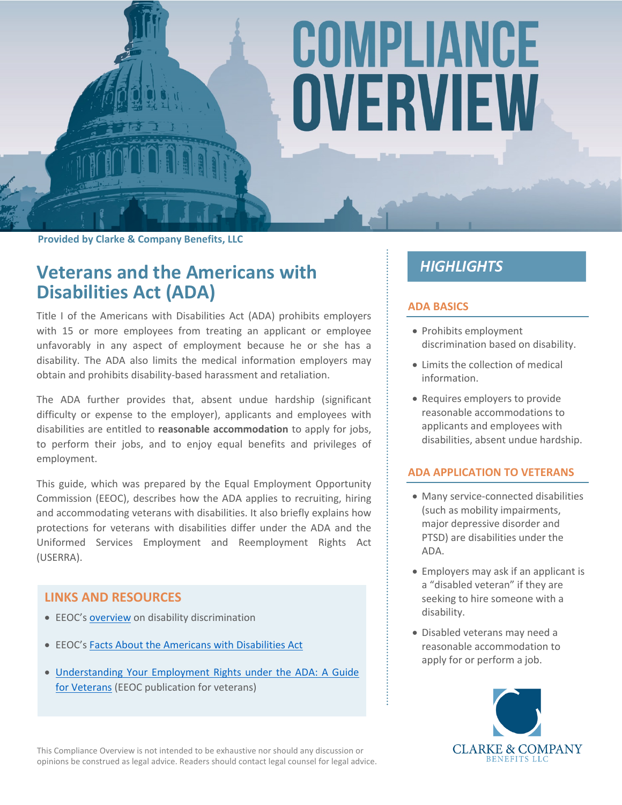# COMPLIANCE OVERVIEW

**Provided by Clarke & Company Benefits, LLC**

# **Veterans and the Americans with Disabilities Act (ADA)**

Title I of the Americans with Disabilities Act (ADA) prohibits employers with 15 or more employees from treating an applicant or employee unfavorably in any aspect of employment because he or she has a disability. The ADA also limits the medical information employers may obtain and prohibits disability-based harassment and retaliation.

The ADA further provides that, absent undue hardship (significant difficulty or expense to the employer), applicants and employees with disabilities are entitled to **reasonable accommodation** to apply for jobs, to perform their jobs, and to enjoy equal benefits and privileges of employment.

This guide, which was prepared by the Equal Employment Opportunity Commission (EEOC), describes how the ADA applies to recruiting, hiring and accommodating veterans with disabilities. It also briefly explains how protections for veterans with disabilities differ under the ADA and the Uniformed Services Employment and Reemployment Rights Act (USERRA).

#### **LINKS AND RESOURCES**

- EEOC's [overview](https://www1.eeoc.gov/laws/types/disability.cfm) on disability discrimination
- EEOC's [Facts About the Americans with Disabilities Act](https://www.eeoc.gov/eeoc/publications/fs-ada.cfm)
- [Understanding Your Employment Rights under the ADA: A Guide](https://www.eeoc.gov/eeoc/publications/ada_veterans.cfm)  [for Veterans](https://www.eeoc.gov/eeoc/publications/ada_veterans.cfm) (EEOC publication for veterans)

# **HIGHLIGHTS**

#### **ADA BASICS**

- Prohibits employment discrimination based on disability.
- Limits the collection of medical information.
- Requires employers to provide reasonable accommodations to applicants and employees with disabilities, absent undue hardship.

#### **ADA APPLICATION TO VETERANS**

- Many service-connected disabilities (such as mobility impairments, major depressive disorder and PTSD) are disabilities under the ADA.
- Employers may ask if an applicant is a "disabled veteran" if they are seeking to hire someone with a disability.
- Disabled veterans may need a reasonable accommodation to apply for or perform a job.

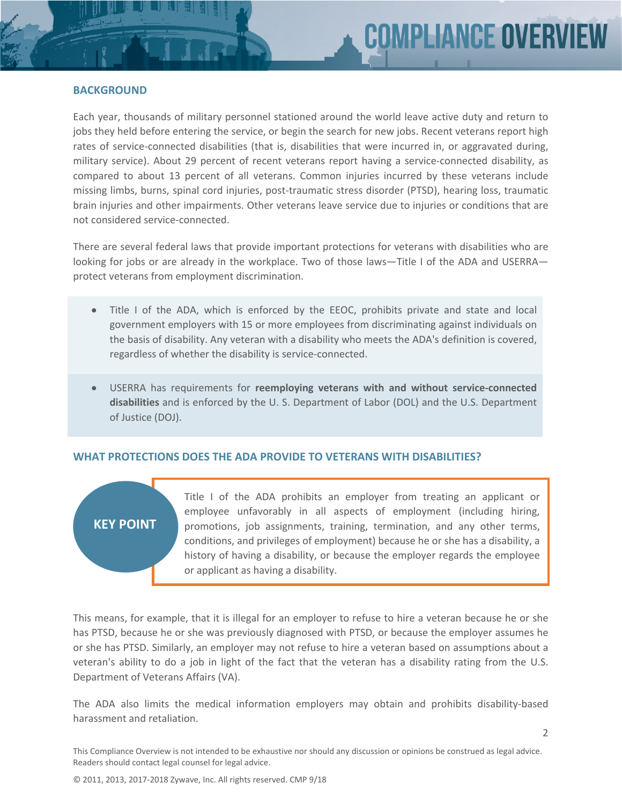#### **BACKGROUND**

Each year, thousands of military personnel stationed around the world leave active duty and return to jobs they held before entering the service, or begin the search for new jobs. Recent veterans report high rates of service-connected disabilities (that is, disabilities that were incurred in, or aggravated during, military service). About 29 percent of recent veterans report having a service-connected disability, as compared to about 13 percent of all veterans. Common injuries incurred by these veterans include missing limbs, burns, spinal cord injuries, post-traumatic stress disorder (PTSD), hearing loss, traumatic brain injuries and other impairments. Other veterans leave service due to injuries or conditions that are not considered service-connected.

There are several federal laws that provide important protections for veterans with disabilities who are looking for jobs or are already in the workplace. Two of those laws—Title I of the ADA and USERRA protect veterans from employment discrimination.

- Title I of the ADA, which is enforced by the EEOC, prohibits private and state and local government employers with 15 or more employees from discriminating against individuals on the basis of disability. Any veteran with a disability who meets the ADA's definition is covered, regardless of whether the disability is service-connected.
- USERRA has requirements for **reemploying veterans with and without service-connected disabilities** and is enforced by the U. S. Department of Labor (DOL) and the U.S. Department of Justice (DOJ).

#### **WHAT PROTECTIONS DOES THE ADA PROVIDE TO VETERANS WITH DISABILITIES?**

# **KEY POINT**

Title I of the ADA prohibits an employer from treating an applicant or employee unfavorably in all aspects of employment (including hiring, promotions, job assignments, training, termination, and any other terms, conditions, and privileges of employment) because he or she has a disability, a history of having a disability, or because the employer regards the employee or applicant as having a disability.

This means, for example, that it is illegal for an employer to refuse to hire a veteran because he or she has PTSD, because he or she was previously diagnosed with PTSD, or because the employer assumes he or she has PTSD. Similarly, an employer may not refuse to hire a veteran based on assumptions about a veteran's ability to do a job in light of the fact that the veteran has a disability rating from the U.S. Department of Veterans Affairs (VA).

The ADA also limits the medical information employers may obtain and prohibits disability-based harassment and retaliation.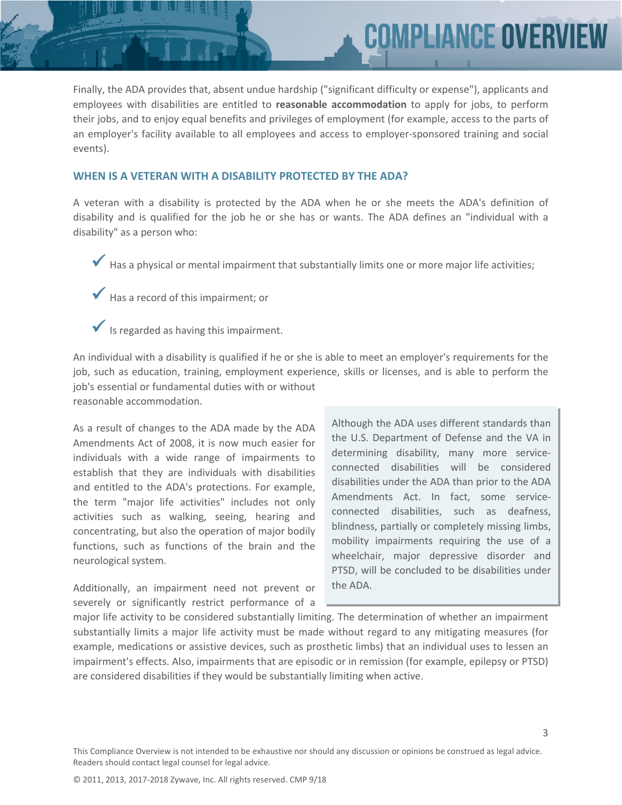Finally, the ADA provides that, absent undue hardship ("significant difficulty or expense"), applicants and employees with disabilities are entitled to **reasonable accommodation** to apply for jobs, to perform their jobs, and to enjoy equal benefits and privileges of employment (for example, access to the parts of an employer's facility available to all employees and access to employer-sponsored training and social events).

#### **WHEN IS A VETERAN WITH A DISABILITY PROTECTED BY THE ADA?**

A veteran with a disability is protected by the ADA when he or she meets the ADA's definition of disability and is qualified for the job he or she has or wants. The ADA defines an "individual with a disability" as a person who:

- Has a physical or mental impairment that substantially limits one or more major life activities;
- Has a record of this impairment; or
- Is regarded as having this impairment.

An individual with a disability is qualified if he or she is able to meet an employer's requirements for the job, such as education, training, employment experience, skills or licenses, and is able to perform the job's essential or fundamental duties with or without reasonable accommodation.

As a result of changes to the ADA made by the ADA Amendments Act of 2008, it is now much easier for individuals with a wide range of impairments to establish that they are individuals with disabilities and entitled to the ADA's protections. For example, the term "major life activities" includes not only activities such as walking, seeing, hearing and concentrating, but also the operation of major bodily functions, such as functions of the brain and the neurological system.

Additionally, an impairment need not prevent or severely or significantly restrict performance of a Although the ADA uses different standards than the U.S. Department of Defense and the VA in determining disability, many more serviceconnected disabilities will be considered disabilities under the ADA than prior to the ADA Amendments Act. In fact, some serviceconnected disabilities, such as deafness, blindness, partially or completely missing limbs, mobility impairments requiring the use of a wheelchair, major depressive disorder and PTSD, will be concluded to be disabilities under the ADA.

**COMPLIANCE OVERVI** 

major life activity to be considered substantially limiting. The determination of whether an impairment substantially limits a major life activity must be made without regard to any mitigating measures (for example, medications or assistive devices, such as prosthetic limbs) that an individual uses to lessen an impairment's effects. Also, impairments that are episodic or in remission (for example, epilepsy or PTSD) are considered disabilities if they would be substantially limiting when active.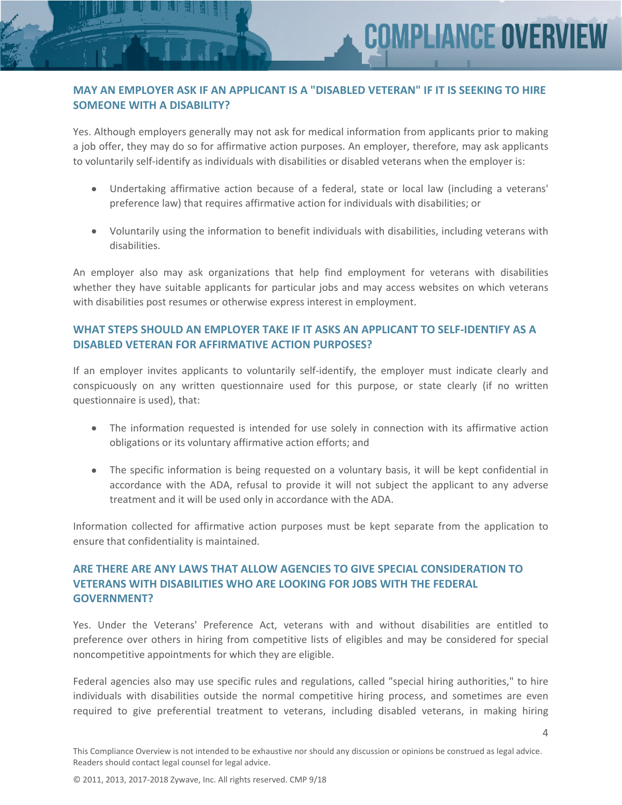4

### **MAY AN EMPLOYER ASK IF AN APPLICANT IS A "DISABLED VETERAN" IF IT IS SEEKING TO HIRE SOMEONE WITH A DISABILITY?**

Yes. Although employers generally may not ask for medical information from applicants prior to making a job offer, they may do so for affirmative action purposes. An employer, therefore, may ask applicants to voluntarily self-identify as individuals with disabilities or disabled veterans when the employer is:

- Undertaking affirmative action because of a federal, state or local law (including a veterans' preference law) that requires affirmative action for individuals with disabilities; or
- Voluntarily using the information to benefit individuals with disabilities, including veterans with disabilities.

An employer also may ask organizations that help find employment for veterans with disabilities whether they have suitable applicants for particular jobs and may access websites on which veterans with disabilities post resumes or otherwise express interest in employment.

# **WHAT STEPS SHOULD AN EMPLOYER TAKE IF IT ASKS AN APPLICANT TO SELF-IDENTIFY AS A DISABLED VETERAN FOR AFFIRMATIVE ACTION PURPOSES?**

If an employer invites applicants to voluntarily self-identify, the employer must indicate clearly and conspicuously on any written questionnaire used for this purpose, or state clearly (if no written questionnaire is used), that:

- The information requested is intended for use solely in connection with its affirmative action obligations or its voluntary affirmative action efforts; and
- The specific information is being requested on a voluntary basis, it will be kept confidential in accordance with the ADA, refusal to provide it will not subject the applicant to any adverse treatment and it will be used only in accordance with the ADA.

Information collected for affirmative action purposes must be kept separate from the application to ensure that confidentiality is maintained.

# **ARE THERE ARE ANY LAWS THAT ALLOW AGENCIES TO GIVE SPECIAL CONSIDERATION TO VETERANS WITH DISABILITIES WHO ARE LOOKING FOR JOBS WITH THE FEDERAL GOVERNMENT?**

Yes. Under the Veterans' Preference Act, veterans with and without disabilities are entitled to preference over others in hiring from competitive lists of eligibles and may be considered for special noncompetitive appointments for which they are eligible.

Federal agencies also may use specific rules and regulations, called "special hiring authorities," to hire individuals with disabilities outside the normal competitive hiring process, and sometimes are even required to give preferential treatment to veterans, including disabled veterans, in making hiring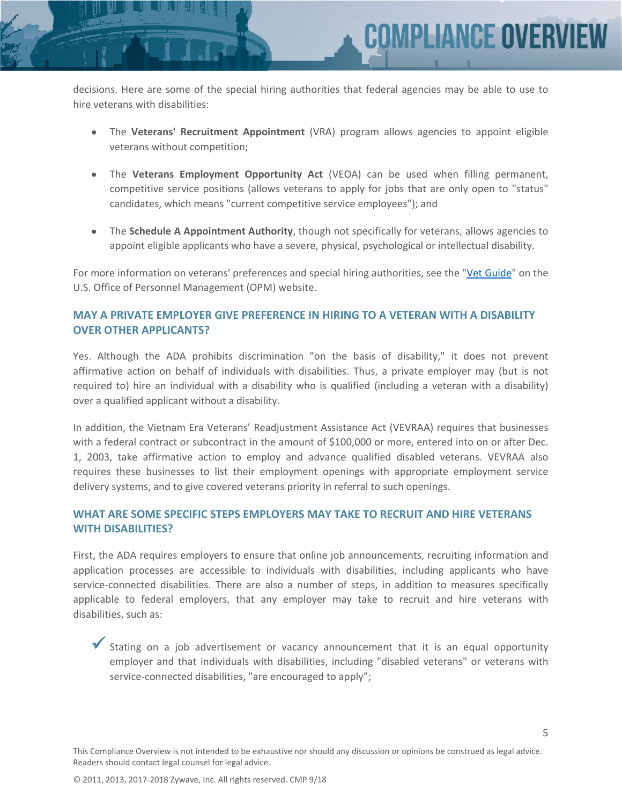

 The **Veterans' Recruitment Appointment** (VRA) program allows agencies to appoint eligible veterans without competition;

**COMPLIANCE OVERV** 

- The **Veterans Employment Opportunity Act** (VEOA) can be used when filling permanent, competitive service positions (allows veterans to apply for jobs that are only open to "status" candidates, which means "current competitive service employees"); and
- The **Schedule A Appointment Authority**, though not specifically for veterans, allows agencies to appoint eligible applicants who have a severe, physical, psychological or intellectual disability.

For more information on veterans' preferences and special hiring authorities, see the "[Vet Guide"](http://www.opm.gov/staffingPortal/Vetguide.asp) on the U.S. Office of Personnel Management (OPM) website.

#### **MAY A PRIVATE EMPLOYER GIVE PREFERENCE IN HIRING TO A VETERAN WITH A DISABILITY OVER OTHER APPLICANTS?**

Yes. Although the ADA prohibits discrimination "on the basis of disability," it does not prevent affirmative action on behalf of individuals with disabilities. Thus, a private employer may (but is not required to) hire an individual with a disability who is qualified (including a veteran with a disability) over a qualified applicant without a disability.

In addition, the Vietnam Era Veterans' Readjustment Assistance Act (VEVRAA) requires that businesses with a federal contract or subcontract in the amount of \$100,000 or more, entered into on or after Dec. 1, 2003, take affirmative action to employ and advance qualified disabled veterans. VEVRAA also requires these businesses to list their employment openings with appropriate employment service delivery systems, and to give covered veterans priority in referral to such openings.

#### **WHAT ARE SOME SPECIFIC STEPS EMPLOYERS MAY TAKE TO RECRUIT AND HIRE VETERANS WITH DISABILITIES?**

First, the ADA requires employers to ensure that online job announcements, recruiting information and application processes are accessible to individuals with disabilities, including applicants who have service-connected disabilities. There are also a number of steps, in addition to measures specifically applicable to federal employers, that any employer may take to recruit and hire veterans with disabilities, such as:

 Stating on a job advertisement or vacancy announcement that it is an equal opportunity employer and that individuals with disabilities, including "disabled veterans" or veterans with service-connected disabilities, "are encouraged to apply";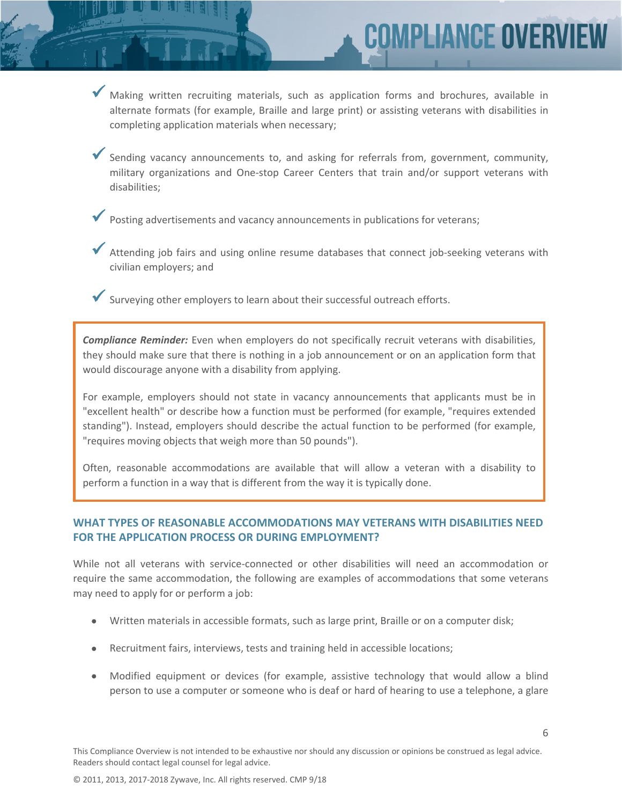Making written recruiting materials, such as application forms and brochures, available in alternate formats (for example, Braille and large print) or assisting veterans with disabilities in completing application materials when necessary;

**MPLIANCE OVERV** 

- Sending vacancy announcements to, and asking for referrals from, government, community, military organizations and One-stop Career Centers that train and/or support veterans with disabilities;
- Posting advertisements and vacancy announcements in publications for veterans;
- ◆ Attending job fairs and using online resume databases that connect job-seeking veterans with civilian employers; and
- $\blacktriangleright$  Surveying other employers to learn about their successful outreach efforts.

*Compliance Reminder:* Even when employers do not specifically recruit veterans with disabilities, they should make sure that there is nothing in a job announcement or on an application form that would discourage anyone with a disability from applying.

For example, employers should not state in vacancy announcements that applicants must be in "excellent health" or describe how a function must be performed (for example, "requires extended standing"). Instead, employers should describe the actual function to be performed (for example, "requires moving objects that weigh more than 50 pounds").

Often, reasonable accommodations are available that will allow a veteran with a disability to perform a function in a way that is different from the way it is typically done.

#### **WHAT TYPES OF REASONABLE ACCOMMODATIONS MAY VETERANS WITH DISABILITIES NEED FOR THE APPLICATION PROCESS OR DURING EMPLOYMENT?**

While not all veterans with service-connected or other disabilities will need an accommodation or require the same accommodation, the following are examples of accommodations that some veterans may need to apply for or perform a job:

- Written materials in accessible formats, such as large print, Braille or on a computer disk;
- Recruitment fairs, interviews, tests and training held in accessible locations;
- Modified equipment or devices (for example, assistive technology that would allow a blind person to use a computer or someone who is deaf or hard of hearing to use a telephone, a glare

6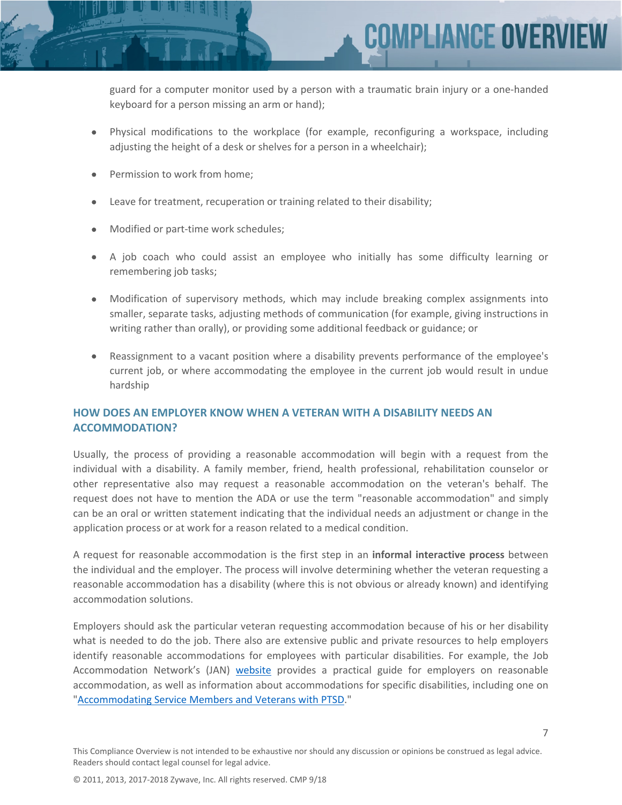**COMPLIANCE OVERV** 

guard for a computer monitor used by a person with a traumatic brain injury or a one-handed keyboard for a person missing an arm or hand);

- Physical modifications to the workplace (for example, reconfiguring a workspace, including adjusting the height of a desk or shelves for a person in a wheelchair);
- Permission to work from home;
- Leave for treatment, recuperation or training related to their disability;
- Modified or part-time work schedules;
- A job coach who could assist an employee who initially has some difficulty learning or remembering job tasks;
- Modification of supervisory methods, which may include breaking complex assignments into smaller, separate tasks, adjusting methods of communication (for example, giving instructions in writing rather than orally), or providing some additional feedback or guidance; or
- Reassignment to a vacant position where a disability prevents performance of the employee's current job, or where accommodating the employee in the current job would result in undue hardship

# **HOW DOES AN EMPLOYER KNOW WHEN A VETERAN WITH A DISABILITY NEEDS AN ACCOMMODATION?**

Usually, the process of providing a reasonable accommodation will begin with a request from the individual with a disability. A family member, friend, health professional, rehabilitation counselor or other representative also may request a reasonable accommodation on the veteran's behalf. The request does not have to mention the ADA or use the term "reasonable accommodation" and simply can be an oral or written statement indicating that the individual needs an adjustment or change in the application process or at work for a reason related to a medical condition.

A request for reasonable accommodation is the first step in an **informal interactive process** between the individual and the employer. The process will involve determining whether the veteran requesting a reasonable accommodation has a disability (where this is not obvious or already known) and identifying accommodation solutions.

Employers should ask the particular veteran requesting accommodation because of his or her disability what is needed to do the job. There also are extensive public and private resources to help employers identify reasonable accommodations for employees with particular disabilities. For example, the Job Accommodation Network's (JAN) [website](http://www.askjan.org/) provides a practical guide for employers on reasonable accommodation, as well as information about accommodations for specific disabilities, including one on ["Accommodating Service Members and Veterans with PTSD](http://askjan.org/media/ptsdvets.html)."

7